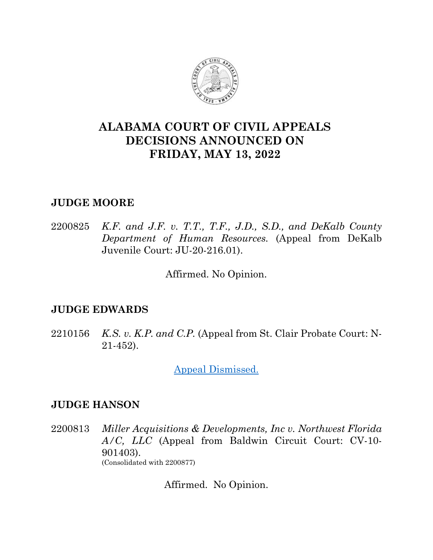

# **ALABAMA COURT OF CIVIL APPEALS DECISIONS ANNOUNCED ON FRIDAY, MAY 13, 2022**

## **JUDGE MOORE**

2200825 *K.F. and J.F. v. T.T., T.F., J.D., S.D., and DeKalb County Department of Human Resources.* (Appeal from DeKalb Juvenile Court: JU-20-216.01).

Affirmed. No Opinion.

### **JUDGE EDWARDS**

2210156 *K.S. v. K.P. and C.P.* (Appeal from St. Clair Probate Court: N-21-452).

[Appeal Dismissed.](https://acis.alabama.gov/displaydocs.cfm?no=1126929&event=6BY1157IC)

## **JUDGE HANSON**

2200813 *Miller Acquisitions & Developments, Inc v. Northwest Florida A/C, LLC* (Appeal from Baldwin Circuit Court: CV-10- 901403). (Consolidated with 2200877)

Affirmed. No Opinion.